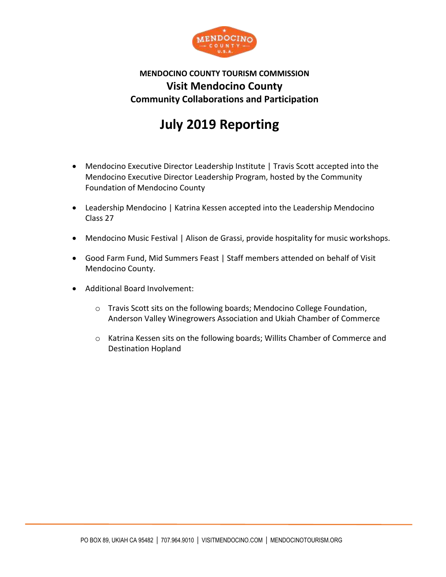

## **MENDOCINO COUNTY TOURISM COMMISSION Visit Mendocino County Community Collaborations and Participation**

## **July 2019 Reporting**

- Mendocino Executive Director Leadership Institute | Travis Scott accepted into the Mendocino Executive Director Leadership Program, hosted by the Community Foundation of Mendocino County
- Leadership Mendocino | Katrina Kessen accepted into the Leadership Mendocino Class 27
- Mendocino Music Festival | Alison de Grassi, provide hospitality for music workshops.
- Good Farm Fund, Mid Summers Feast | Staff members attended on behalf of Visit Mendocino County.
- Additional Board Involvement:
	- o Travis Scott sits on the following boards; Mendocino College Foundation, Anderson Valley Winegrowers Association and Ukiah Chamber of Commerce
	- $\circ$  Katrina Kessen sits on the following boards; Willits Chamber of Commerce and Destination Hopland